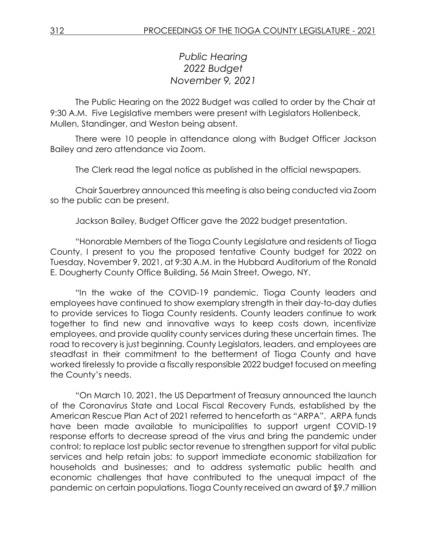*Public Hearing 2022 Budget November 9, 2021*

The Public Hearing on the 2022 Budget was called to order by the Chair at 9:30 A.M. Five Legislative members were present with Legislators Hollenbeck, Mullen, Standinger, and Weston being absent.

There were 10 people in attendance along with Budget Officer Jackson Bailey and zero attendance via Zoom.

The Clerk read the legal notice as published in the official newspapers.

Chair Sauerbrey announced this meeting is also being conducted via Zoom so the public can be present.

Jackson Bailey, Budget Officer gave the 2022 budget presentation.

"Honorable Members of the Tioga County Legislature and residents of Tioga County, I present to you the proposed tentative County budget for 2022 on Tuesday, November 9, 2021, at 9:30 A.M. in the Hubbard Auditorium of the Ronald E. Dougherty County Office Building, 56 Main Street, Owego, NY.

"In the wake of the COVID-19 pandemic, Tioga County leaders and employees have continued to show exemplary strength in their day-to-day duties to provide services to Tioga County residents. County leaders continue to work together to find new and innovative ways to keep costs down, incentivize employees, and provide quality county services during these uncertain times. The road to recovery is just beginning. County Legislators, leaders, and employees are steadfast in their commitment to the betterment of Tioga County and have worked tirelessly to provide a fiscally responsible 2022 budget focused on meeting the County's needs.

"On March 10, 2021, the US Department of Treasury announced the launch of the Coronavirus State and Local Fiscal Recovery Funds, established by the American Rescue Plan Act of 2021 referred to henceforth as "ARPA". ARPA funds have been made available to municipalities to support urgent COVID-19 response efforts to decrease spread of the virus and bring the pandemic under control; to replace lost public sector revenue to strengthen support for vital public services and help retain jobs; to support immediate economic stabilization for households and businesses; and to address systematic public health and economic challenges that have contributed to the unequal impact of the pandemic on certain populations. Tioga County received an award of \$9.7 million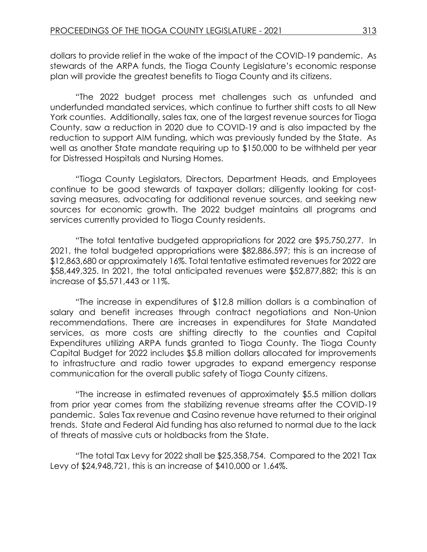dollars to provide relief in the wake of the impact of the COVID-19 pandemic. As stewards of the ARPA funds, the Tioga County Legislature's economic response plan will provide the greatest benefits to Tioga County and its citizens.

"The 2022 budget process met challenges such as unfunded and underfunded mandated services, which continue to further shift costs to all New York counties. Additionally, sales tax, one of the largest revenue sources for Tioga County, saw a reduction in 2020 due to COVID-19 and is also impacted by the reduction to support AIM funding, which was previously funded by the State. As well as another State mandate requiring up to \$150,000 to be withheld per year for Distressed Hospitals and Nursing Homes.

"Tioga County Legislators, Directors, Department Heads, and Employees continue to be good stewards of taxpayer dollars; diligently looking for costsaving measures, advocating for additional revenue sources, and seeking new sources for economic growth. The 2022 budget maintains all programs and services currently provided to Tioga County residents.

"The total tentative budgeted appropriations for 2022 are \$95,750,277. In 2021, the total budgeted appropriations were \$82,886.597; this is an increase of \$12,863,680 or approximately 16%. Total tentative estimated revenues for 2022 are \$58,449,325. In 2021, the total anticipated revenues were \$52,877,882; this is an increase of \$5,571,443 or 11%.

"The increase in expenditures of \$12.8 million dollars is a combination of salary and benefit increases through contract negotiations and Non-Union recommendations. There are increases in expenditures for State Mandated services, as more costs are shifting directly to the counties and Capital Expenditures utilizing ARPA funds granted to Tioga County. The Tioga County Capital Budget for 2022 includes \$5.8 million dollars allocated for improvements to infrastructure and radio tower upgrades to expand emergency response communication for the overall public safety of Tioga County citizens.

"The increase in estimated revenues of approximately \$5.5 million dollars from prior year comes from the stabilizing revenue streams after the COVID-19 pandemic. Sales Tax revenue and Casino revenue have returned to their original trends. State and Federal Aid funding has also returned to normal due to the lack of threats of massive cuts or holdbacks from the State.

"The total Tax Levy for 2022 shall be \$25,358,754. Compared to the 2021 Tax Levy of \$24,948,721, this is an increase of \$410,000 or 1.64%.